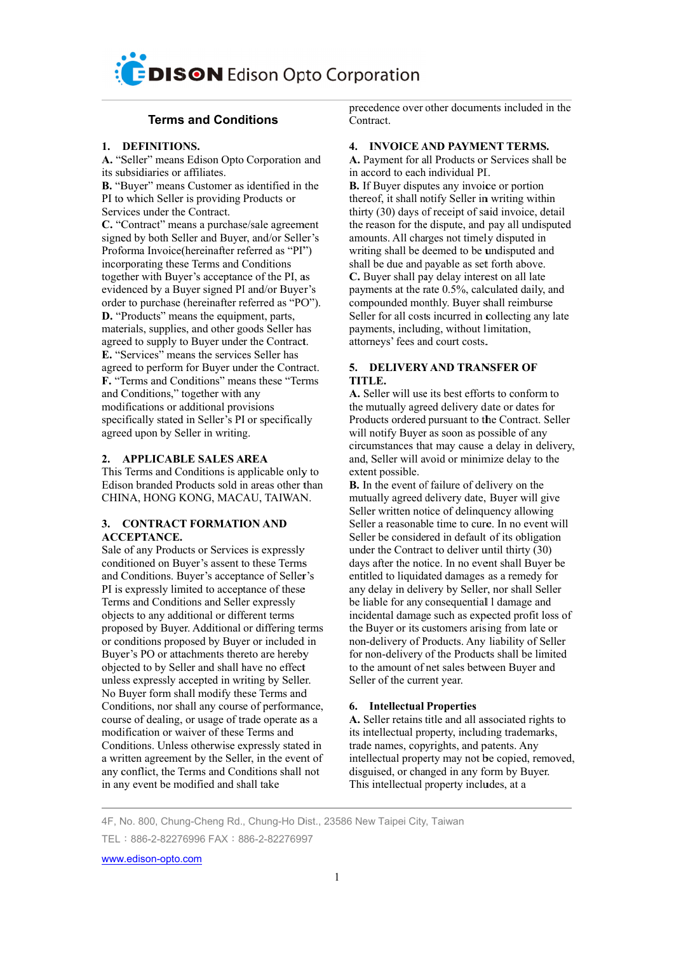

# **Terms and Conditions**

## 1. DEFINITIONS.

A. "Seller" means Edison Opto Corporation and its subsidiaries or affiliates.

B. "Buyer" means Customer as identified in the PI to which Seller is providing Products or Services under the Contract.

C. "Contract" means a purchase/sale agreement signed by both Seller and Buyer, and/or Seller's Proforma Invoice(hereinafter referred as "PI") incorporating these Terms and Conditions together with Buyer's acceptance of the PI, as evidenced by a Buyer signed PI and/or Buyer's order to purchase (hereinafter referred as "PO"). D. "Products" means the equipment, parts, materials, supplies, and other goods Seller has agreed to supply to Buyer under the Contract. E. "Services" means the services Seller has agreed to perform for Buyer under the Contract. F. "Terms and Conditions" means these "Terms" and Conditions," together with any modifications or additional provisions specifically stated in Seller's PI or specifically agreed upon by Seller in writing.

# 2. APPLICABLE SALES AREA

This Terms and Conditions is applicable only to Edison branded Products sold in areas other than CHINA, HONG KONG, MACAU, TAIWAN.

#### 3. CONTRACT FORMATION AND **ACCEPTANCE.**

Sale of any Products or Services is expressly conditioned on Buyer's assent to these Terms and Conditions. Buyer's acceptance of Seller's PI is expressly limited to acceptance of these Terms and Conditions and Seller expressly objects to any additional or different terms proposed by Buyer. Additional or differing terms or conditions proposed by Buyer or included in Buyer's PO or attachments thereto are hereby objected to by Seller and shall have no effect unless expressly accepted in writing by Seller. No Buyer form shall modify these Terms and Conditions, nor shall any course of performance, course of dealing, or usage of trade operate as a modification or waiver of these Terms and Conditions. Unless otherwise expressly stated in a written agreement by the Seller, in the event of any conflict, the Terms and Conditions shall not in any event be modified and shall take

precedence over other documents included in the Contract

#### 4. INVOICE AND PAYMENT TERMS.

A. Payment for all Products or Services shall be in accord to each individual PI.

**B.** If Buyer disputes any invoice or portion thereof, it shall notify Seller in writing within thirty (30) days of receipt of said invoice, detail the reason for the dispute, and pay all undisputed amounts. All charges not timely disputed in writing shall be deemed to be undisputed and shall be due and payable as set forth above. C. Buyer shall pay delay interest on all late payments at the rate 0.5%, calculated daily, and compounded monthly. Buyer shall reimburse Seller for all costs incurred in collecting any late payments, including, without limitation, attorneys' fees and court costs.

# 5. DELIVERY AND TRANSFER OF TITLE.

A. Seller will use its best efforts to conform to the mutually agreed delivery date or dates for Products ordered pursuant to the Contract. Seller will notify Buyer as soon as possible of any circumstances that may cause a delay in delivery, and, Seller will avoid or minimize delay to the extent possible.

**B.** In the event of failure of delivery on the mutually agreed delivery date, Buyer will give Seller written notice of delinquency allowing Seller a reasonable time to cure. In no event will Seller be considered in default of its obligation under the Contract to deliver until thirty (30) days after the notice. In no event shall Buyer be entitled to liquidated damages as a remedy for any delay in delivery by Seller, nor shall Seller be liable for any consequential 1 damage and incidental damage such as expected profit loss of the Buyer or its customers arising from late or non-delivery of Products. Any liability of Seller for non-delivery of the Products shall be limited to the amount of net sales between Buyer and Seller of the current year.

#### 6. Intellectual Properties

A. Seller retains title and all associated rights to its intellectual property, including trademarks, trade names, copyrights, and patents. Any intellectual property may not be copied, removed, disguised, or changed in any form by Buyer. This intellectual property includes, at a

4F, No. 800, Chung-Cheng Rd., Chung-Ho Dist., 23586 New Taipei City, Taiwan TFI: 886-2-82276996 FAX: 886-2-82276997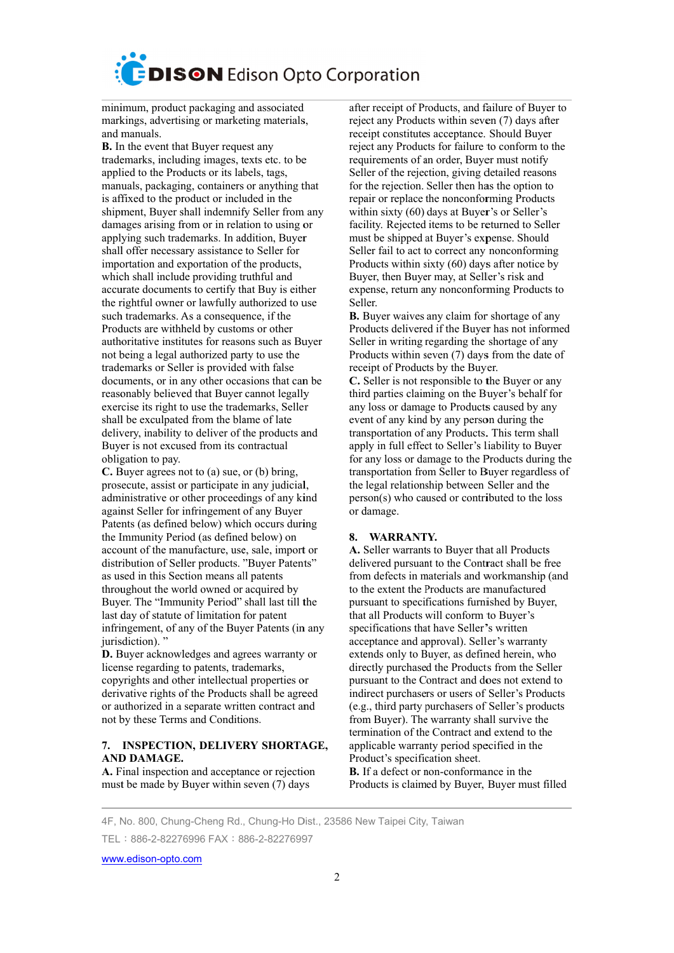

minimum, product packaging and associated markings, advertising or marketing materials, and manuals.

**B.** In the event that Buyer request any trademarks, including images, texts etc. to be applied to the Products or its labels, tags, manuals, packaging, containers or anything that is affixed to the product or included in the shipment, Buyer shall indemnify Seller from any damages arising from or in relation to using or applying such trademarks. In addition, Buyer shall offer necessary assistance to Seller for importation and exportation of the products, which shall include providing truthful and accurate documents to certify that Buy is either the rightful owner or lawfully authorized to use such trademarks. As a consequence, if the Products are withheld by customs or other authoritative institutes for reasons such as Buyer not being a legal authorized party to use the trademarks or Seller is provided with false documents, or in any other occasions that can be reasonably believed that Buver cannot legally exercise its right to use the trademarks, Seller shall be exculpated from the blame of late delivery, inability to deliver of the products and Buyer is not excused from its contractual obligation to pay.

C. Buyer agrees not to (a) sue, or (b) bring, prosecute, assist or participate in any judicial, administrative or other proceedings of any kind against Seller for infringement of any Buyer Patents (as defined below) which occurs during the Immunity Period (as defined below) on account of the manufacture, use, sale, import or distribution of Seller products. "Buyer Patents" as used in this Section means all patents throughout the world owned or acquired by Buyer. The "Immunity Period" shall last till the last day of statute of limitation for patent infringement, of any of the Buyer Patents (in any jurisdiction).'

D. Buyer acknowledges and agrees warranty or license regarding to patents, trademarks, copyrights and other intellectual properties or derivative rights of the Products shall be agreed or authorized in a separate written contract and not by these Terms and Conditions.

### 7. INSPECTION, DELIVERY SHORTAGE, AND DAMAGE.

A. Final inspection and acceptance or rejection must be made by Buyer within seven (7) days

after receipt of Products, and failure of Buyer to reject any Products within seven (7) days after receipt constitutes acceptance. Should Buver reject any Products for failure to conform to the requirements of an order, Buyer must notify Seller of the rejection, giving detailed reasons for the rejection. Seller then has the option to repair or replace the nonconforming Products within sixty (60) days at Buyer's or Seller's facility. Rejected items to be returned to Seller must be shipped at Buyer's expense. Should Seller fail to act to correct any nonconforming Products within sixty (60) days after notice by Buyer, then Buyer may, at Seller's risk and expense, return any nonconforming Products to Seller.

B. Buyer waives any claim for shortage of any Products delivered if the Buyer has not informed Seller in writing regarding the shortage of any Products within seven (7) days from the date of receipt of Products by the Buyer. C. Seller is not responsible to the Buver or any third parties claiming on the Buyer's behalf for any loss or damage to Products caused by any event of any kind by any person during the transportation of any Products. This term shall apply in full effect to Seller's liability to Buyer for any loss or damage to the Products during the transportation from Seller to Buyer regardless of the legal relationship between Seller and the person(s) who caused or contributed to the loss or damage.

# 8. WARRANTY.

A. Seller warrants to Buyer that all Products delivered pursuant to the Contract shall be free from defects in materials and workmanship (and to the extent the Products are manufactured pursuant to specifications furnished by Buyer, that all Products will conform to Buyer's specifications that have Seller's written acceptance and approval). Seller's warranty extends only to Buyer, as defined herein, who directly purchased the Products from the Seller pursuant to the Contract and does not extend to indirect purchasers or users of Seller's Products (e.g., third party purchasers of Seller's products from Buyer). The warranty shall survive the termination of the Contract and extend to the applicable warranty period specified in the Product's specification sheet. **B.** If a defect or non-conformance in the

Products is claimed by Buyer, Buyer must filled

4F, No. 800, Chung-Cheng Rd., Chung-Ho Dist., 23586 New Taipei City, Taiwan TFI: 886-2-82276996 FAX: 886-2-82276997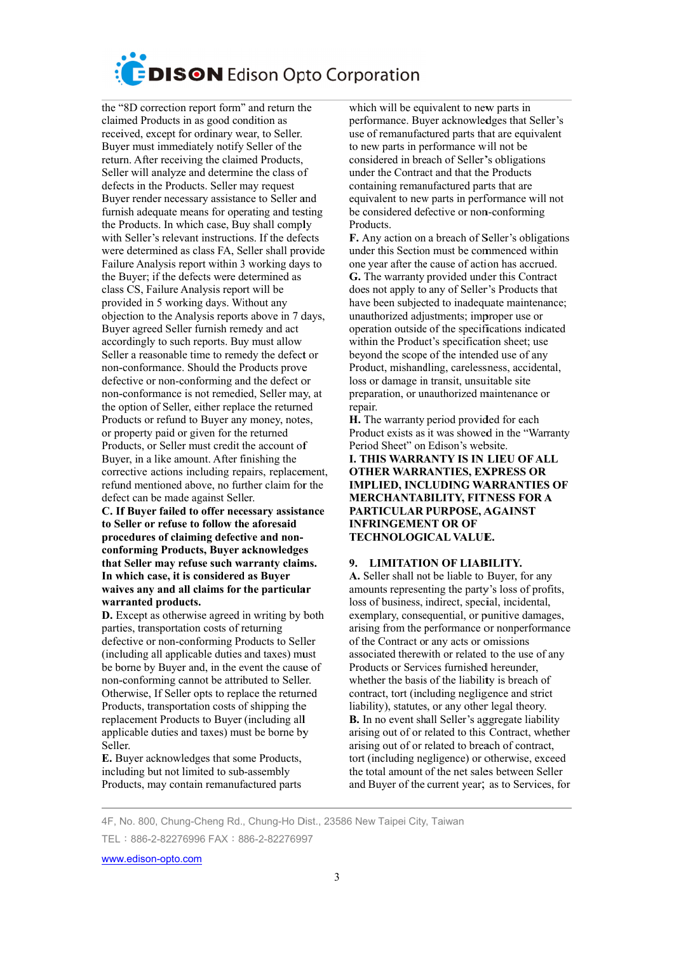

the "8D correction report form" and return the claimed Products in as good condition as received, except for ordinary wear, to Seller. Buyer must immediately notify Seller of the return. After receiving the claimed Products, Seller will analyze and determine the class of defects in the Products. Seller may request Buyer render necessary assistance to Seller and furnish adequate means for operating and testing the Products. In which case, Buy shall comply with Seller's relevant instructions. If the defects were determined as class FA, Seller shall provide Failure Analysis report within 3 working days to the Buyer; if the defects were determined as class CS, Failure Analysis report will be provided in 5 working days. Without any objection to the Analysis reports above in 7 days, Buyer agreed Seller furnish remedy and act accordingly to such reports. Buy must allow Seller a reasonable time to remedy the defect or non-conformance. Should the Products prove defective or non-conforming and the defect or non-conformance is not remedied. Seller may, at the option of Seller, either replace the returned Products or refund to Buyer any money, notes, or property paid or given for the returned Products, or Seller must credit the account of Buyer, in a like amount. After finishing the corrective actions including repairs, replacement, refund mentioned above, no further claim for the defect can be made against Seller.

C. If Buyer failed to offer necessary assistance to Seller or refuse to follow the aforesaid procedures of claiming defective and nonconforming Products, Buyer acknowledges that Seller may refuse such warranty claims. In which case, it is considered as Buyer waives any and all claims for the particular warranted products.

D. Except as otherwise agreed in writing by both parties, transportation costs of returning defective or non-conforming Products to Seller (including all applicable duties and taxes) must be borne by Buyer and, in the event the cause of non-conforming cannot be attributed to Seller. Otherwise, If Seller opts to replace the returned Products, transportation costs of shipping the replacement Products to Buyer (including all applicable duties and taxes) must be borne by Seller.

E. Buyer acknowledges that some Products, including but not limited to sub-assembly Products, may contain remanufactured parts

which will be equivalent to new parts in performance. Buver acknowledges that Seller's use of remanufactured parts that are equivalent to new parts in performance will not be considered in breach of Seller's obligations under the Contract and that the Products containing remanufactured parts that are equivalent to new parts in performance will not be considered defective or non-conforming Products.

F. Any action on a breach of Seller's obligations under this Section must be commenced within one year after the cause of action has accrued. G. The warranty provided under this Contract does not apply to any of Seller's Products that have been subjected to inadequate maintenance; unauthorized adjustments; improper use or operation outside of the specifications indicated within the Product's specification sheet; use beyond the scope of the intended use of any Product, mishandling, carelessness, accidental, loss or damage in transit, unsuitable site preparation, or unauthorized maintenance or repair.

H. The warranty period provided for each Product exists as it was showed in the "Warranty Period Sheet" on Edison's website.

**I. THIS WARRANTY IS IN LIEU OF ALL** OTHER WARRANTIES, EXPRESS OR **IMPLIED, INCLUDING WARRANTIES OF** MERCHANTABILITY, FITNESS FOR A PARTICULAR PURPOSE, AGAINST **INFRINGEMENT OR OF TECHNOLOGICAL VALUE.** 

# 9. LIMITATION OF LIABILITY.

A. Seller shall not be liable to Buyer, for any amounts representing the party's loss of profits, loss of business, indirect, special, incidental, exemplary, consequential, or punitive damages, arising from the performance or nonperformance of the Contract or any acts or omissions associated therewith or related to the use of any Products or Services furnished hereunder. whether the basis of the liability is breach of contract, tort (including negligence and strict liability), statutes, or any other legal theory. B. In no event shall Seller's aggregate liability arising out of or related to this Contract, whether arising out of or related to breach of contract, tort (including negligence) or otherwise, exceed the total amount of the net sales between Seller and Buyer of the current year; as to Services, for

4F, No. 800, Chung-Cheng Rd., Chung-Ho Dist., 23586 New Taipei City, Taiwan

TFI: 886-2-82276996 FAX: 886-2-82276997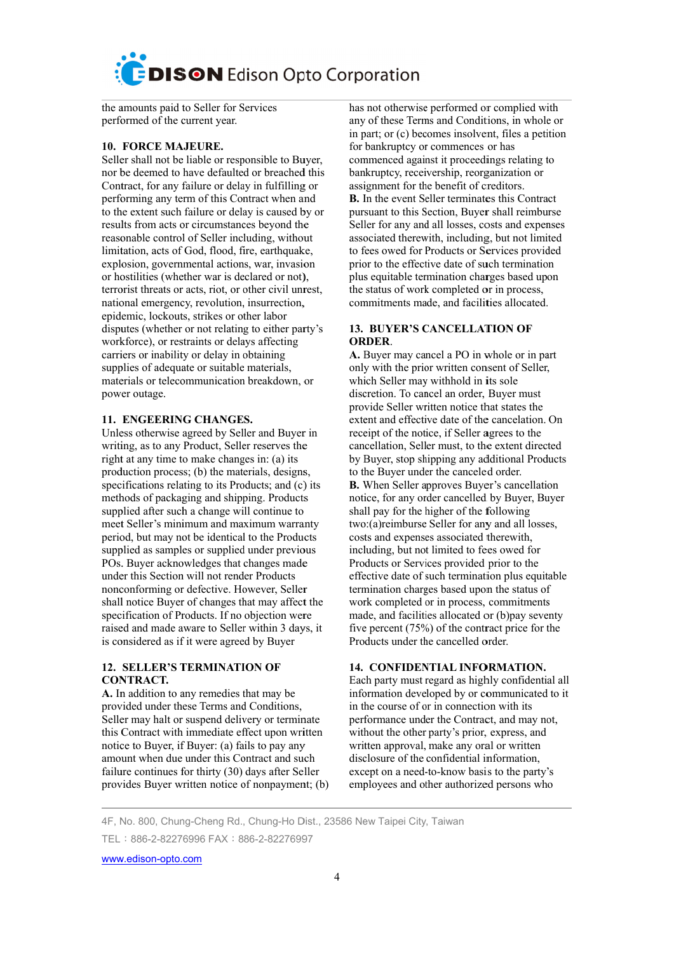

the amounts paid to Seller for Services performed of the current year.

## 10. FORCE MAJEURE.

Seller shall not be liable or responsible to Buyer, nor be deemed to have defaulted or breached this Contract, for any failure or delay in fulfilling or performing any term of this Contract when and to the extent such failure or delay is caused by or results from acts or circumstances beyond the reasonable control of Seller including, without limitation, acts of God, flood, fire, earthquake, explosion, governmental actions, war, invasion or hostilities (whether war is declared or not), terrorist threats or acts, riot, or other civil unrest, national emergency, revolution, insurrection, epidemic, lockouts, strikes or other labor disputes (whether or not relating to either party's workforce), or restraints or delays affecting carriers or inability or delay in obtaining supplies of adequate or suitable materials, materials or telecommunication breakdown, or power outage.

### 11. ENGEERING CHANGES.

Unless otherwise agreed by Seller and Buyer in writing, as to any Product, Seller reserves the right at any time to make changes in: (a) its production process; (b) the materials, designs, specifications relating to its Products; and (c) its methods of packaging and shipping. Products supplied after such a change will continue to meet Seller's minimum and maximum warranty period, but may not be identical to the Products supplied as samples or supplied under previous POs. Buyer acknowledges that changes made under this Section will not render Products nonconforming or defective. However, Seller shall notice Buyer of changes that may affect the specification of Products. If no objection were raised and made aware to Seller within 3 days, it is considered as if it were agreed by Buyer

## **12. SELLER'S TERMINATION OF CONTRACT.**

A. In addition to any remedies that may be provided under these Terms and Conditions, Seller may halt or suspend delivery or terminate this Contract with immediate effect upon written notice to Buyer, if Buyer: (a) fails to pay any amount when due under this Contract and such failure continues for thirty (30) days after Seller provides Buyer written notice of nonpayment; (b) has not otherwise performed or complied with any of these Terms and Conditions, in whole or in part: or (c) becomes insolvent, files a petition for bankruptcy or commences or has commenced against it proceedings relating to bankruptcy, receivership, reorganization or assignment for the benefit of creditors. **B.** In the event Seller terminates this Contract pursuant to this Section, Buyer shall reimburse Seller for any and all losses, costs and expenses associated therewith, including, but not limited to fees owed for Products or Services provided prior to the effective date of such termination plus equitable termination charges based upon the status of work completed or in process, commitments made, and facilities allocated.

# **13. BUYER'S CANCELLATION OF** ORDER

A. Buyer may cancel a PO in whole or in part only with the prior written consent of Seller, which Seller may withhold in its sole discretion. To cancel an order, Buver must provide Seller written notice that states the extent and effective date of the cancelation. On receipt of the notice, if Seller agrees to the cancellation, Seller must, to the extent directed by Buyer, stop shipping any additional Products to the Buyer under the canceled order. B. When Seller approves Buyer's cancellation notice, for any order cancelled by Buyer, Buyer shall pay for the higher of the following two:(a)reimburse Seller for any and all losses, costs and expenses associated therewith. including, but not limited to fees owed for Products or Services provided prior to the effective date of such termination plus equitable termination charges based upon the status of work completed or in process, commitments made, and facilities allocated or (b)pay seventy five percent  $(75%)$  of the contract price for the Products under the cancelled order.

#### 14. CONFIDENTIAL INFORMATION.

Each party must regard as highly confidential all information developed by or communicated to it in the course of or in connection with its performance under the Contract, and may not, without the other party's prior, express, and written approval, make any oral or written disclosure of the confidential information, except on a need-to-know basis to the party's employees and other authorized persons who

4F, No. 800, Chung-Cheng Rd., Chung-Ho Dist., 23586 New Taipei City, Taiwan

TFI: 886-2-82276996 FAX: 886-2-82276997